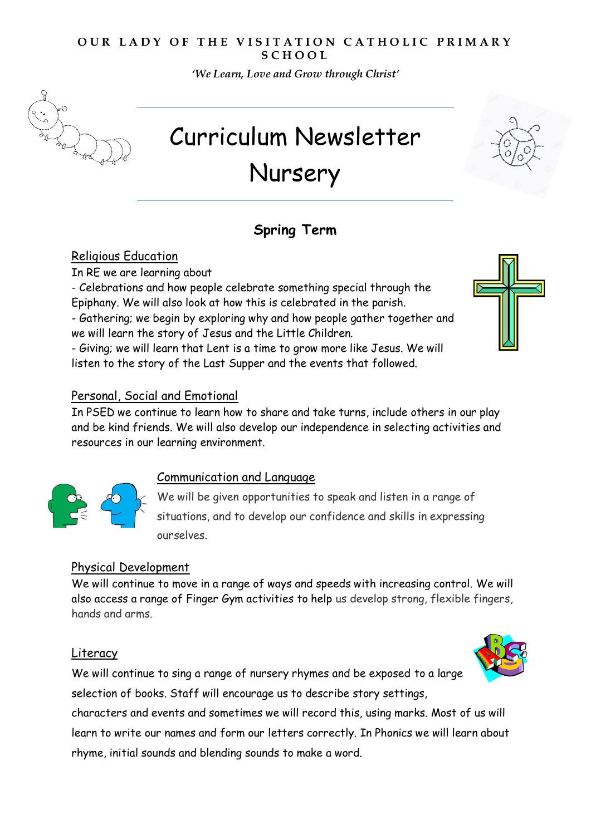# **OUR LADY OF THE VISITATION CATHOLIC PRIMARY S C H O O L**

*'We Learn, Love and Grow through Christ'* 



# Curriculum Newsletter Nursery

# **Spring Term**

# Religious Education

In RE we are learning about

- Celebrations and how people celebrate something special through the Epiphany. We will also look at how this is celebrated in the parish.

- Gathering; we begin by exploring why and how people gather together and we will learn the story of Jesus and the Little Children.

- Giving; we will learn that Lent is a time to grow more like Jesus. We will listen to the story of the Last Supper and the events that followed.



#### Personal, Social and Emotional

In PSED we continue to learn how to share and take turns, include others in our play and be kind friends. We will also develop our independence in selecting activities and resources in our learning environment.



# Communication and Language

We will be given opportunities to speak and listen in a range of situations, and to develop our confidence and skills in expressing ourselves.

#### Physical Development

We will continue to move in a range of ways and speeds with increasing control. We will also access a range of Finger Gym activities to help us develop strong, flexible fingers, hands and arms.

#### Literacy

We will continue to sing a range of nursery rhymes and be exposed to a large selection of books. Staff will encourage us to describe story settings,

characters and events and sometimes we will record this, using marks. Most of us will learn to write our names and form our letters correctly. In Phonics we will learn about rhyme, initial sounds and blending sounds to make a word.